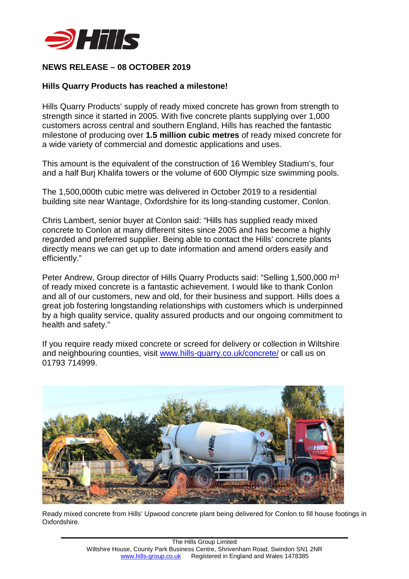

## **NEWS RELEASE – 08 OCTOBER 2019**

## **Hills Quarry Products has reached a milestone!**

Hills Quarry Products' supply of ready mixed concrete has grown from strength to strength since it started in 2005. With five concrete plants supplying over 1,000 customers across central and southern England, Hills has reached the fantastic milestone of producing over **1.5 million cubic metres** of ready mixed concrete for a wide variety of commercial and domestic applications and uses.

This amount is the equivalent of the construction of 16 Wembley Stadium's, four and a half Burj Khalifa towers or the volume of 600 Olympic size swimming pools.

The 1,500,000th cubic metre was delivered in October 2019 to a residential building site near Wantage, Oxfordshire for its long-standing customer, Conlon.

Chris Lambert, senior buyer at Conlon said: "Hills has supplied ready mixed concrete to Conlon at many different sites since 2005 and has become a highly regarded and preferred supplier. Being able to contact the Hills' concrete plants directly means we can get up to date information and amend orders easily and efficiently."

Peter Andrew, Group director of Hills Quarry Products said: "Selling 1,500,000 m<sup>3</sup> of ready mixed concrete is a fantastic achievement. I would like to thank Conlon and all of our customers, new and old, for their business and support. Hills does a great job fostering longstanding relationships with customers which is underpinned by a high quality service, quality assured products and our ongoing commitment to health and safety."

If you require ready mixed concrete or screed for delivery or collection in Wiltshire and neighbouring counties, visit [www.hills-quarry.co.uk/concrete/](http://www.hills-quarry.co.uk/concrete/) or call us on 01793 714999.



Ready mixed concrete from Hills' Upwood concrete plant being delivered for Conlon to fill house footings in Oxfordshire.